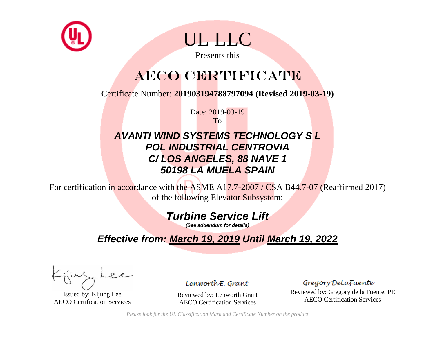



Presents this

## AECO CERTIFICATE

Certificate Number: **201903194788797094 (Revised 2019-03-19)**

Date: 2019-03-19 To

### *AVANTI WIND SYSTEMS TECHNOLOGY S L POL INDUSTRIAL CENTROVIA C/ LOS ANGELES, 88 NAVE 1 50198 LA MUELA SPAIN*

For certification in accordance with the ASME A17.7-2007 / CSA B44.7-07 (Reaffirmed 2017) of the following Elevator Subsystem:

### *Turbine Service Lift*

*(See addendum for details)*

### *Effective from: March 19, 2019 Until March 19, 2022*

Issued by: Kijung Lee AECO Certification Services

LenworthE. Grant

Reviewed by: Lenworth Grant AECO Certification Services

Gregory DelaFuente

Reviewed by: Gregory de la Fuente, PE AECO Certification Services

*Please look for the UL Classification Mark and Certificate Number on the product*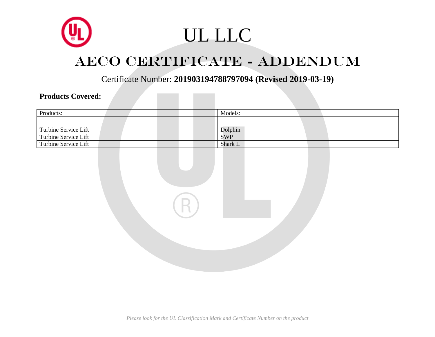

# UL LLC

## AECO CERTIFICATE - ADDENDUM

Certificate Number: **201903194788797094 (Revised 2019-03-19)**

#### **Products Covered:**

| Products:            | Models:    |
|----------------------|------------|
|                      |            |
| Turbine Service Lift | Dolphin    |
| Turbine Service Lift | <b>SWP</b> |
| Turbine Service Lift | Shark L    |
|                      |            |
|                      |            |
|                      |            |
|                      |            |
|                      |            |
|                      |            |
|                      |            |
| $\mathbb{R}$         |            |
|                      |            |
|                      |            |
|                      |            |
|                      |            |
|                      |            |
|                      |            |
|                      |            |
|                      |            |
|                      |            |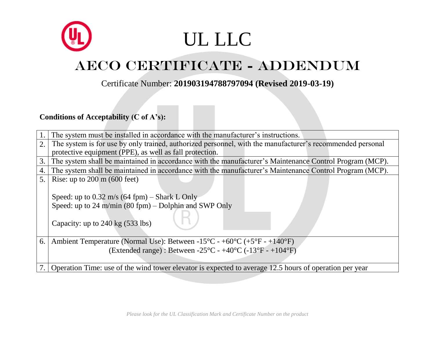# UL LLC

## AECO CERTIFICATE - ADDENDUM

#### Certificate Number: **201903194788797094 (Revised 2019-03-19)**

#### **Conditions of Acceptability (C of A's):**

|    | The system must be installed in accordance with the manufacturer's instructions.                                            |
|----|-----------------------------------------------------------------------------------------------------------------------------|
| 2. | The system is for use by only trained, authorized personnel, with the manufacturer's recommended personal                   |
|    | protective equipment (PPE), as well as fall protection.                                                                     |
| 3. | The system shall be maintained in accordance with the manufacturer's Maintenance Control Program (MCP).                     |
| 4. | The system shall be maintained in accordance with the manufacturer's Maintenance Control Program (MCP).                     |
| 5. | Rise: up to $200 \text{ m}$ (600 feet)                                                                                      |
|    |                                                                                                                             |
|    | Speed: up to $0.32 \text{ m/s}$ (64 fpm) – Shark L Only                                                                     |
|    | Speed: up to 24 m/min $(80$ fpm) – Dolphin and SWP Only                                                                     |
|    |                                                                                                                             |
|    | Capacity: up to $240 \text{ kg}$ (533 lbs)                                                                                  |
|    |                                                                                                                             |
| 6. | Ambient Temperature (Normal Use): Between -15 <sup>o</sup> C - +60 <sup>o</sup> C (+5 <sup>o</sup> F - +140 <sup>o</sup> F) |
|    |                                                                                                                             |
|    | (Extended range) : Between -25 $\degree$ C - +40 $\degree$ C (-13 $\degree$ F - +104 $\degree$ F)                           |
|    |                                                                                                                             |
|    | Operation Time: use of the wind tower elevator is expected to average 12.5 hours of operation per year                      |
|    |                                                                                                                             |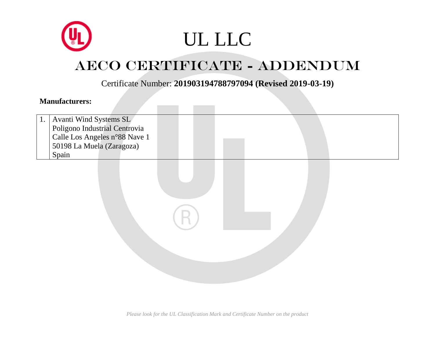# UL LLC

## AECO CERTIFICATE - ADDENDUM

Certificate Number: **201903194788797094 (Revised 2019-03-19)**

#### **Manufacturers:**

| Avanti Wind Systems SL        |
|-------------------------------|
| Poligono Industrial Centrovia |
| Calle Los Angeles n°88 Nave 1 |
| 50198 La Muela (Zaragoza)     |
| Spain                         |

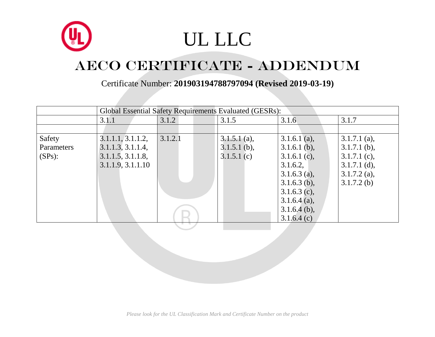

|            | Global Essential Safety Requirements Evaluated (GESRs): |         |                |                |                |  |
|------------|---------------------------------------------------------|---------|----------------|----------------|----------------|--|
|            | 3.1.1                                                   | 3.1.2   | 3.1.5          | 3.1.6          | 3.1.7          |  |
|            |                                                         |         |                |                |                |  |
| Safety     | 3.1.1.1, 3.1.1.2,                                       | 3.1.2.1 | $3.1.5.1$ (a), | 3.1.6.1 (a),   | $3.1.7.1$ (a), |  |
| Parameters | 3.1.1.3, 3.1.1.4,                                       |         | $3.1.5.1$ (b), | $3.1.6.1$ (b), | $3.1.7.1$ (b), |  |
| $(SPs)$ :  | 3.1.1.5, 3.1.1.8,                                       |         | $3.1.5.1$ (c)  | 3.1.6.1 (c),   | $3.1.7.1$ (c), |  |
|            | 3.1.1.9, 3.1.1.10                                       |         |                | 3.1.6.2,       | $3.1.7.1$ (d), |  |
|            |                                                         |         |                | $3.1.6.3$ (a), | $3.1.7.2$ (a), |  |
|            |                                                         |         |                | $3.1.6.3$ (b), | $3.1.7.2$ (b)  |  |
|            |                                                         |         |                | $3.1.6.3$ (c), |                |  |
|            |                                                         |         |                | 3.1.6.4 (a),   |                |  |
|            |                                                         |         |                | $3.1.6.4$ (b), |                |  |
|            |                                                         |         |                | 3.1.6.4(c)     |                |  |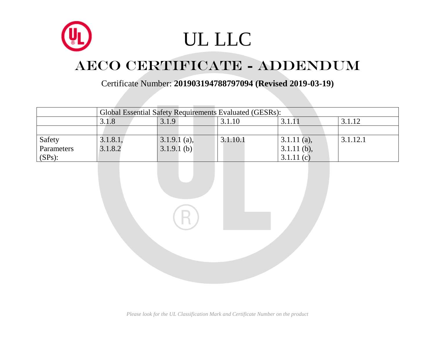![](_page_5_Picture_0.jpeg)

Certificate Number: **201903194788797094 (Revised 2019-03-19)**

|            | Global Essential Safety Requirements Evaluated (GESRs): |               |          |               |          |  |  |
|------------|---------------------------------------------------------|---------------|----------|---------------|----------|--|--|
|            | 3.1.12<br>3.1.9<br>3.1.10<br>3.1.8<br>3.1.11            |               |          |               |          |  |  |
|            |                                                         |               |          |               |          |  |  |
| Safety     | 3.1.8.1,                                                | 3.1.9.1 (a),  | 3.1.10.1 | $3.1.11$ (a), | 3.1.12.1 |  |  |
| Parameters | 3.1.8.2                                                 | $3.1.9.1$ (b) |          | $3.1.11$ (b), |          |  |  |
| $(SPs)$ :  |                                                         |               |          | 3.1.11(c)     |          |  |  |

*Please look for the UL Classification Mark and Certificate Number on the product*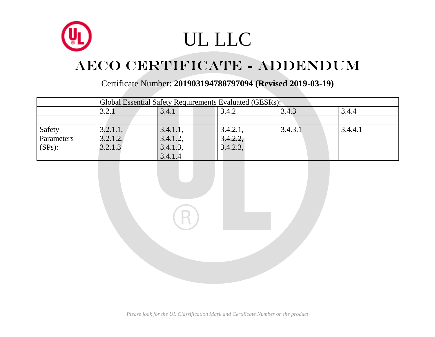![](_page_6_Picture_0.jpeg)

|            |                                           | Global Essential Safety Requirements Evaluated (GESRs): |          |         |         |  |  |
|------------|-------------------------------------------|---------------------------------------------------------|----------|---------|---------|--|--|
|            | 3.4.3<br>3.2.1<br>3.4.1<br>3.4.2<br>3.4.4 |                                                         |          |         |         |  |  |
|            |                                           |                                                         |          |         |         |  |  |
| Safety     | 3.2.1.1,                                  | 3.4.1.1,                                                | 3.4.2.1, | 3.4.3.1 | 3.4.4.1 |  |  |
| Parameters | 3.2.1.2,                                  | 3.4.1.2,                                                | 3.4.2.2, |         |         |  |  |
| $(SPs)$ :  | 3.2.1.3                                   | 3.4.1.3,                                                | 3.4.2.3  |         |         |  |  |
|            |                                           | 3.4.1.4                                                 |          |         |         |  |  |

![](_page_6_Picture_4.jpeg)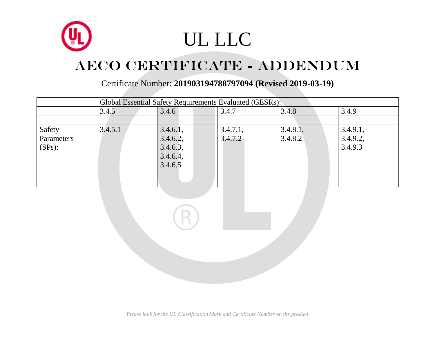![](_page_7_Picture_0.jpeg)

|            | Global Essential Safety Requirements Evaluated (GESRs): |          |          |          |          |  |  |
|------------|---------------------------------------------------------|----------|----------|----------|----------|--|--|
|            | 3.4.8<br>3.4.6<br>3.4.9<br>3.4.7<br>3.4.5               |          |          |          |          |  |  |
|            |                                                         |          |          |          |          |  |  |
| Safety     | 3.4.5.1                                                 | 3.4.6.1, | 3.4.7.1, | 3.4.8.1, | 3.4.9.1, |  |  |
| Parameters |                                                         | 3.4.6.2, | 3.4.7.2  | 3.4.8.2  | 3.4.9.2, |  |  |
| $(SPs)$ :  |                                                         | 3.4.6.3, |          |          | 3.4.9.3  |  |  |
|            |                                                         | 3.4.6.4, |          |          |          |  |  |
|            |                                                         | 3.4.6.5  |          |          |          |  |  |
|            |                                                         |          |          |          |          |  |  |
|            |                                                         |          |          |          |          |  |  |

![](_page_7_Picture_4.jpeg)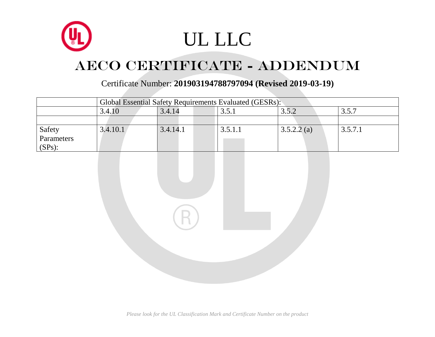![](_page_8_Picture_0.jpeg)

|            | Global Essential Safety Requirements Evaluated (GESRs): |          |         |            |         |  |  |
|------------|---------------------------------------------------------|----------|---------|------------|---------|--|--|
|            | 3.5.2<br>3.4.10<br>3.4.14<br>3.5.7                      |          |         |            |         |  |  |
|            |                                                         |          |         |            |         |  |  |
| Safety     | 3.4.10.1                                                | 3.4.14.1 | 3.5.1.1 | 3.5.2.2(a) | 3.5.7.1 |  |  |
| Parameters |                                                         |          |         |            |         |  |  |
| $(SPs)$ :  |                                                         |          |         |            |         |  |  |

![](_page_8_Picture_4.jpeg)